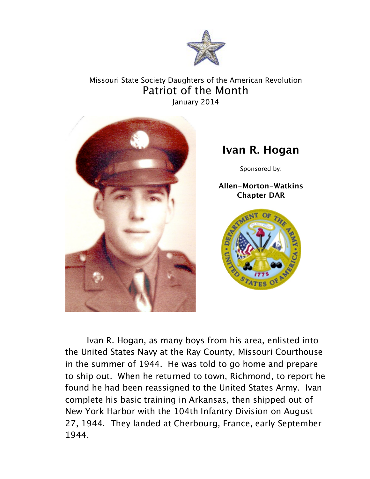

## Missouri State Society Daughters of the American Revolution Patriot of the Month January 2014



## **Ivan R. Hogan**

Sponsored by:

**Allen-Morton-Watkins Chapter DAR**



Ivan R. Hogan, as many boys from his area, enlisted into the United States Navy at the Ray County, Missouri Courthouse in the summer of 1944. He was told to go home and prepare to ship out. When he returned to town, Richmond, to report he found he had been reassigned to the United States Army. Ivan complete his basic training in Arkansas, then shipped out of New York Harbor with the 104th Infantry Division on August 27, 1944. They landed at Cherbourg, France, early September 1944.